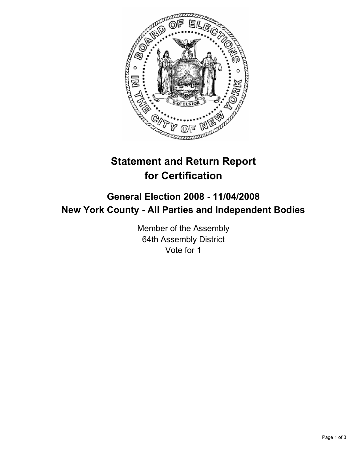

## **Statement and Return Report for Certification**

## **General Election 2008 - 11/04/2008 New York County - All Parties and Independent Bodies**

Member of the Assembly 64th Assembly District Vote for 1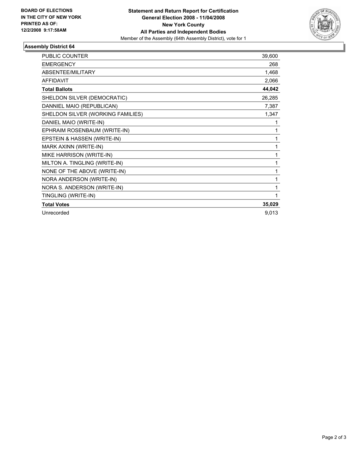

## **Assembly District 64**

| PUBLIC COUNTER                    | 39,600 |
|-----------------------------------|--------|
| <b>EMERGENCY</b>                  | 268    |
| <b>ABSENTEE/MILITARY</b>          | 1,468  |
| <b>AFFIDAVIT</b>                  | 2,066  |
| <b>Total Ballots</b>              | 44,042 |
| SHELDON SILVER (DEMOCRATIC)       | 26,285 |
| DANNIEL MAIO (REPUBLICAN)         | 7,387  |
| SHELDON SILVER (WORKING FAMILIES) | 1,347  |
| DANIEL MAIO (WRITE-IN)            |        |
| EPHRAIM ROSENBAUM (WRITE-IN)      |        |
| EPSTEIN & HASSEN (WRITE-IN)       |        |
| MARK AXINN (WRITE-IN)             |        |
| MIKE HARRISON (WRITE-IN)          |        |
| MILTON A. TINGLING (WRITE-IN)     |        |
| NONE OF THE ABOVE (WRITE-IN)      |        |
| NORA ANDERSON (WRITE-IN)          |        |
| NORA S. ANDERSON (WRITE-IN)       |        |
| TINGLING (WRITE-IN)               |        |
| <b>Total Votes</b>                | 35,029 |
| Unrecorded                        | 9,013  |